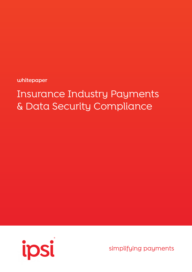

**whitepaper**

simplifying payments

# Insurance Industry Payments & Data Security Compliance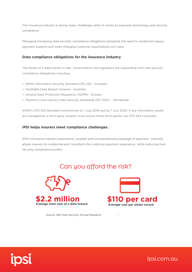The insurance industry is facing many challenges when it comes to payment technology and security compliance.

Managing increasing data security compliance obligations alongside the need to modernise legacy payment systems and meet changing customer expectations isn't easy.

#### **Data compliance obligations for the insurance industry**

The threat of a data breach is real. Governments and regulators are responding with new security compliance obligations including:

- APRA Information Security Standard CPS 234 Australia
- Notifiable Data Breach Scheme Australia
- General Data Protection Regulation (GDPR) Europe
- Payment Card Industry Data Security Standards (PCI DSS) Worldwide

APRA's CPS 234 Standard commenced on 1 July 2019 and by 1 July 2020, if any information assets are managed by a third party, Insurers must ensure these third parties are CPS 234 compliant.

#### **IPSI helps insurers meet compliance challenges.**

IPSI's insurance industry experience, coupled with acomprehensive package of payment channels, allows insurers to modernise and transform the customer payment experience while reducing their security compliance burden.

## Can you afford the risk?





Source: IBN Data Security Annual Research



ipsi.com.au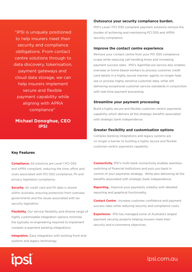"IPSI is uniquely positioned to help insurers meet their security and compliance oblligations. From contact centre solutions through to data discovery, tokenisation, payment gateways and cloud data storage, we can help insurers implement secure and flexible payment capability while aligning with APRA compliance"

#### **Michael Donoghue, CEO IPSI**

#### **Outsource your security compliance burden.**

IPSI's Level 1 PCI DSS compliant payment solutions remove the burden of achieving and maintaining PCI DSS and APRA security compliance.

#### **Improve the contact centre experience**

Remove your contact centre from your PCI DSS compliance scope while reducing call handling times and increasing payment success rates. IPSI's AgentSecure service also enables overseas or home based workers to process customer credit card details in a highly secure manner; agents no longer hear, see or process highly sensitive customer data, while still delivering exceptional customer service standards in conjunction with real-time payment processing.

#### **Streamline your payment processing**

Build a highly secure and flexible customer-centric payments capability which delivers all the strategic benefits associated with strategic bank independence.

#### **Greater flexibility and customisation options**

Complex banking integrations and legacy systems are no longer a barrier to building a highly secure and flexible customer-centric payments capability.

#### **Key Features**

**Compliance.** All solutions are Level 1 PCI DSS and APRA compliant, reducing the time, effort and costs associated with PCI DSS compliance, PII and privacy legislation compliance.

**Security.** All credit card and PII data is stored within Australia, ensuring protection from overseas governments and the issues associated with lax security legislation.

**Flexibility.** Our service flexibility and diverse range of highly customisable integration options minimise the typically re-engineering required to implement complex e-payment banking integrations.

**Integration.** Easy integration with existing front-end systems and legacy technology.

**Connectivity.** IPSI's multi-bank connectivity enables seamless switching of financial institutions and puts you back in control of your payments strategy. While also delivering all the benefits associated with strategic bank independence.

**Reporting.** Improve your payments visibility with detailed reporting and graphical functionality.

**Contact Centre.** Increase customer confidence and payment success rates while reducing security and compliance costs.

**Experience.** IPSI has managed some of Australia's largest payment security projects helping insurers meet their security and e-commerce objectives.

### ipsi.com.au